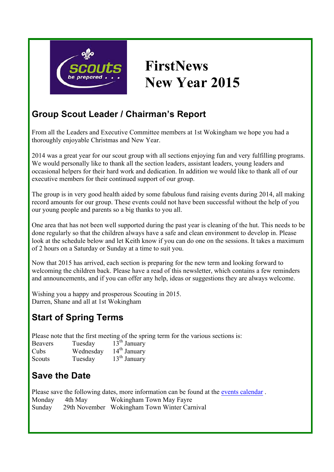

# **FirstNews New Year 2015**

#### **Group Scout Leader / Chairman's Report**

From all the Leaders and Executive Committee members at 1st Wokingham we hope you had a thoroughly enjoyable Christmas and New Year.

2014 was a great year for our scout group with all sections enjoying fun and very fulfilling programs. We would personally like to thank all the section leaders, assistant leaders, young leaders and occasional helpers for their hard work and dedication. In addition we would like to thank all of our executive members for their continued support of our group.

The group is in very good health aided by some fabulous fund raising events during 2014, all making record amounts for our group. These events could not have been successful without the help of you our young people and parents so a big thanks to you all.

One area that has not been well supported during the past year is cleaning of the hut. This needs to be done regularly so that the children always have a safe and clean environment to develop in. Please look at the schedule below and let Keith know if you can do one on the sessions. It takes a maximum of 2 hours on a Saturday or Sunday at a time to suit you.

Now that 2015 has arrived, each section is preparing for the new term and looking forward to welcoming the children back. Please have a read of this newsletter, which contains a few reminders and announcements, and if you can offer any help, ideas or suggestions they are always welcome.

Wishing you a happy and prosperous Scouting in 2015. Darren, Shane and all at 1st Wokingham

## **Start of Spring Terms**

Please note that the first meeting of the spring term for the various sections is:

| <b>Beavers</b> | Tuesday   | $13th$ January |
|----------------|-----------|----------------|
| Cubs           | Wednesday | $14th$ January |
| Scouts         | Tuesday   | $13th$ January |

## **Save the Date**

Please save the following dates, more information can be found at the events calendar . Monday 4th May Wokingham Town May Fayre Sunday 29th November Wokingham Town Winter Carnival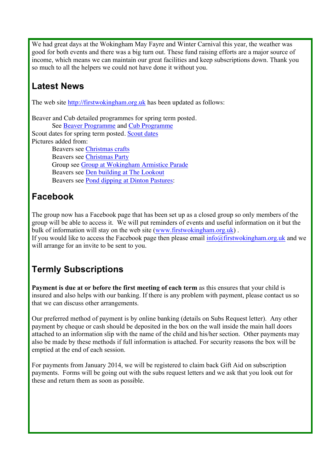We had great days at the Wokingham May Fayre and Winter Carnival this year, the weather was good for both events and there was a big turn out. These fund raising efforts are a major source of income, which means we can maintain our great facilities and keep subscriptions down. Thank you so much to all the helpers we could not have done it without you.

## **Latest News**

The web site http://firstwokingham.org.uk has been updated as follows:

Beaver and Cub detailed programmes for spring term posted. See Beaver Programme and Cub Programme Scout dates for spring term posted. Scout dates Pictures added from: Beavers see Christmas crafts Beavers see Christmas Party Group see Group at Wokingham Armistice Parade Beavers see Den building at The Lookout Beavers see Pond dipping at Dinton Pastures:

## **Facebook**

The group now has a Facebook page that has been set up as a closed group so only members of the group will be able to access it. We will put reminders of events and useful information on it but the bulk of information will stay on the web site (www.firstwokingham.org.uk) .

If you would like to access the Facebook page then please email  $info@firstwokingham.org.uk$  and we will arrange for an invite to be sent to you.

## **Termly Subscriptions**

**Payment is due at or before the first meeting of each term** as this ensures that your child is insured and also helps with our banking. If there is any problem with payment, please contact us so that we can discuss other arrangements.

Our preferred method of payment is by online banking (details on Subs Request letter). Any other payment by cheque or cash should be deposited in the box on the wall inside the main hall doors attached to an information slip with the name of the child and his/her section. Other payments may also be made by these methods if full information is attached. For security reasons the box will be emptied at the end of each session.

For payments from January 2014, we will be registered to claim back Gift Aid on subscription payments. Forms will be going out with the subs request letters and we ask that you look out for these and return them as soon as possible.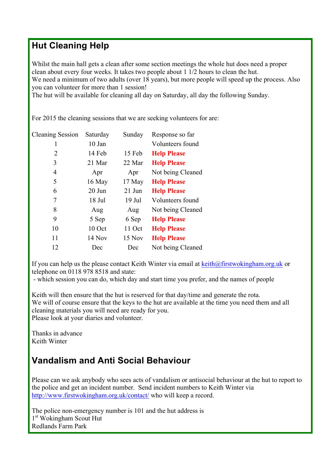#### **Hut Cleaning Help**

Whilst the main hall gets a clean after some section meetings the whole hut does need a proper clean about every four weeks. It takes two people about 1 1/2 hours to clean the hut. We need a minimum of two adults (over 18 years), but more people will speed up the process. Also you can volunteer for more than 1 session!

The hut will be available for cleaning all day on Saturday, all day the following Sunday.

For 2015 the cleaning sessions that we are seeking volunteers for are:

| <b>Cleaning Session</b> | Saturday | Sunday   | Response so far    |
|-------------------------|----------|----------|--------------------|
| 1                       | 10 Jan   |          | Volunteers found   |
| 2                       | 14 Feb   | 15 Feb   | <b>Help Please</b> |
| 3                       | 21 Mar   | 22 Mar   | <b>Help Please</b> |
| 4                       | Apr      | Apr      | Not being Cleaned  |
| 5                       | 16 May   | 17 May   | <b>Help Please</b> |
| 6                       | $20$ Jun | $21$ Jun | <b>Help Please</b> |
| 7                       | 18 Jul   | $19$ Jul | Volunteers found   |
| 8                       | Aug      | Aug      | Not being Cleaned  |
| 9                       | 5 Sep    | 6 Sep    | <b>Help Please</b> |
| 10                      | 10 Oct   | 11 Oct   | <b>Help Please</b> |
| 11                      | 14 Nov   | 15 Nov   | <b>Help Please</b> |
| 12                      | Dec      | Dec      | Not being Cleaned  |
|                         |          |          |                    |

If you can help us the please contact Keith Winter via email at  $\text{keith}\omega$ firstwokingham.org.uk or telephone on 0118 978 8518 and state:

- which session you can do, which day and start time you prefer, and the names of people

Keith will then ensure that the hut is reserved for that day/time and generate the rota. We will of course ensure that the keys to the hut are available at the time you need them and all cleaning materials you will need are ready for you. Please look at your diaries and volunteer.

Thanks in advance Keith Winter

#### **Vandalism and Anti Social Behaviour**

Please can we ask anybody who sees acts of vandalism or antisocial behaviour at the hut to report to the police and get an incident number. Send incident numbers to Keith Winter via http://www.firstwokingham.org.uk/contact/ who will keep a record.

The police non-emergency number is 101 and the hut address is 1<sup>st</sup> Wokingham Scout Hut Redlands Farm Park